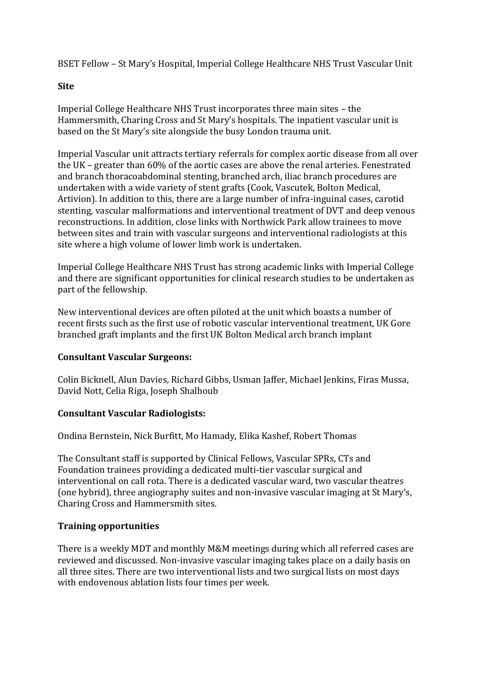BSET Fellow – St Mary's Hospital, Imperial College Healthcare NHS Trust Vascular Unit

## **Site**

Imperial College Healthcare NHS Trust incorporates three main sites – the Hammersmith, Charing Cross and St Mary's hospitals. The inpatient vascular unit is based on the St Mary's site alongside the busy London trauma unit.

Imperial Vascular unit attracts tertiary referrals for complex aortic disease from all over the UK – greater than 60% of the aortic cases are above the renal arteries. Fenestrated and branch thoracoabdominal stenting, branched arch, iliac branch procedures are undertaken with a wide variety of stent grafts (Cook, Vascutek, Bolton Medical, Artivion). In addition to this, there are a large number of infra-inguinal cases, carotid stenting, vascular malformations and interventional treatment of DVT and deep venous reconstructions. In addition, close links with Northwick Park allow trainees to move between sites and train with vascular surgeons and interventional radiologists at this site where a high volume of lower limb work is undertaken.

Imperial College Healthcare NHS Trust has strong academic links with Imperial College and there are significant opportunities for clinical research studies to be undertaken as part of the fellowship.

New interventional devices are often piloted at the unit which boasts a number of recent firsts such as the first use of robotic vascular interventional treatment, UK Gore branched graft implants and the first UK Bolton Medical arch branch implant

## **Consultant Vascular Surgeons:**

Colin Bicknell, Alun Davies, Richard Gibbs, Usman Jaffer, Michael Jenkins, Firas Mussa, David Nott, Celia Riga, Joseph Shalhoub

## **Consultant Vascular Radiologists:**

Ondina Bernstein, Nick Burfitt, Mo Hamady, Elika Kashef, Robert Thomas

The Consultant staff is supported by Clinical Fellows, Vascular SPRs, CTs and Foundation trainees providing a dedicated multi-tier vascular surgical and interventional on call rota. There is a dedicated vascular ward, two vascular theatres (one hybrid), three angiography suites and non-invasive vascular imaging at St Mary's, Charing Cross and Hammersmith sites.

## **Training opportunities**

There is a weekly MDT and monthly M&M meetings during which all referred cases are reviewed and discussed. Non-invasive vascular imaging takes place on a daily basis on all three sites. There are two interventional lists and two surgical lists on most days with endovenous ablation lists four times per week.